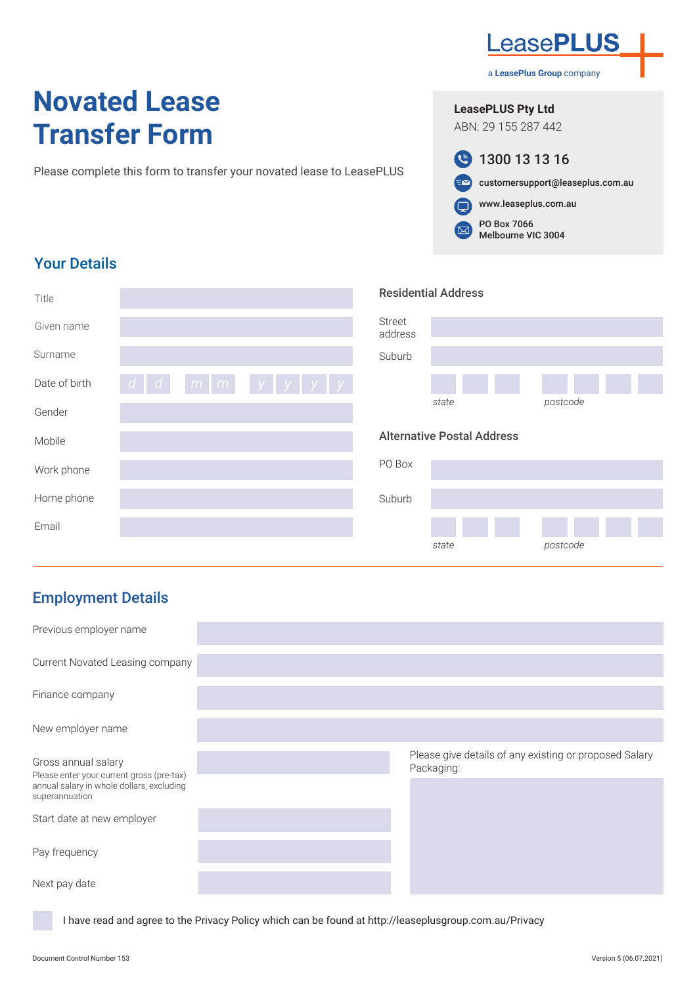# **Novated Lease Transfer Form**

Please complete this form to transfer your novated lease to LeasePLUS

**LeasePLUS Pty Ltd**



www.leaseplus.com.au

PO Box 7066  $\Xi$ Melbourne VIC 3004

## Your Details

| Title         |                                                                      | <b>Residential Address</b>        |  |
|---------------|----------------------------------------------------------------------|-----------------------------------|--|
| Given name    |                                                                      | <b>Street</b><br>address          |  |
| Surname       |                                                                      | Suburb                            |  |
| Date of birth | $\lceil m \rceil m$ $\lceil y \rceil y$ $\lceil y \rceil y$<br>d   d |                                   |  |
| Gender        |                                                                      | postcode<br>state                 |  |
|               |                                                                      |                                   |  |
| Mobile        |                                                                      | <b>Alternative Postal Address</b> |  |
| Work phone    |                                                                      | PO Box                            |  |
| Home phone    |                                                                      | Suburb                            |  |
| Email         |                                                                      |                                   |  |

# Employment Details

| Previous employer name                                                                                                          |                                                                      |
|---------------------------------------------------------------------------------------------------------------------------------|----------------------------------------------------------------------|
| Current Novated Leasing company                                                                                                 |                                                                      |
| Finance company                                                                                                                 |                                                                      |
| New employer name                                                                                                               |                                                                      |
| Gross annual salary<br>Please enter your current gross (pre-tax)<br>annual salary in whole dollars, excluding<br>superannuation | Please give details of any existing or proposed Salary<br>Packaging: |
| Start date at new employer                                                                                                      |                                                                      |
| Pay frequency                                                                                                                   |                                                                      |
| Next pay date                                                                                                                   |                                                                      |

I have read and agree to the Privacy Policy which can be found at http://leaseplusgroup.com.au/Privacy



a **LeasePlus Group** company

ABN: 29 155 287 442